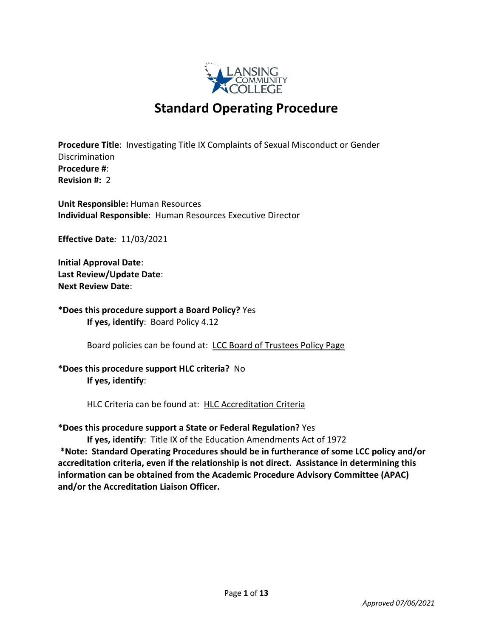

# **Standard Operating Procedure**

**Procedure Title**: Investigating Title IX Complaints of Sexual Misconduct or Gender Discrimination **Procedure #**: **Revision #:** 2

**Unit Responsible:** Human Resources **Individual Responsible**: Human Resources Executive Director

**Effective Date***:* 11/03/2021

**Initial Approval Date**: **Last Review/Update Date**: **Next Review Date**:

**\*Does this procedure support a Board Policy?** Yes **If yes, identify**: Board Policy 4.12

Board policies can be found at: LCC Board of Trustees Policy Page

# **\*Does this procedure support HLC criteria?** No **If yes, identify**:

HLC Criteria can be found at: HLC Accreditation Criteria

**\*Does this procedure support a State or Federal Regulation?** Yes

**If yes, identify**: Title IX of the Education Amendments Act of 1972 **\*Note: Standard Operating Procedures should be in furtherance of some LCC policy and/or accreditation criteria, even if the relationship is not direct. Assistance in determining this information can be obtained from the Academic Procedure Advisory Committee (APAC) and/or the Accreditation Liaison Officer.**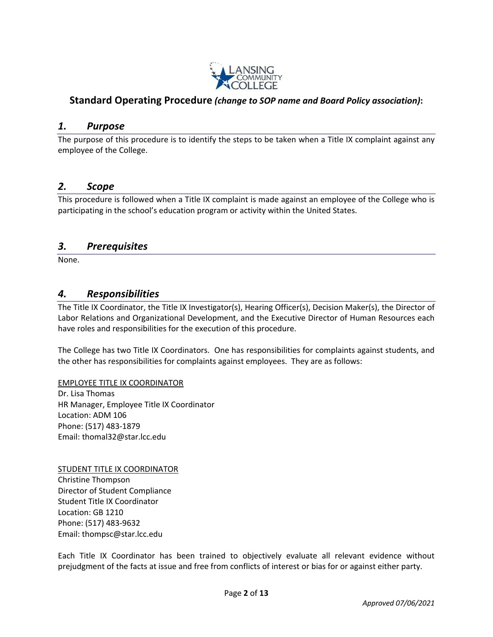

# **Standard Operating Procedure** *(change to SOP name and Board Policy association)***:**

## *1. Purpose*

The purpose of this procedure is to identify the steps to be taken when a Title IX complaint against any employee of the College.

## *2. Scope*

This procedure is followed when a Title IX complaint is made against an employee of the College who is participating in the school's education program or activity within the United States.

## *3. Prerequisites*

None.

## *4. Responsibilities*

The Title IX Coordinator, the Title IX Investigator(s), Hearing Officer(s), Decision Maker(s), the Director of Labor Relations and Organizational Development, and the Executive Director of Human Resources each have roles and responsibilities for the execution of this procedure.

The College has two Title IX Coordinators. One has responsibilities for complaints against students, and the other has responsibilities for complaints against employees. They are as follows:

#### EMPLOYEE TITLE IX COORDINATOR

Dr. Lisa Thomas HR Manager, Employee Title IX Coordinator Location: ADM 106 Phone: (517) 483-1879 Email: thomal32@star.lcc.edu

STUDENT TITLE IX COORDINATOR Christine Thompson Director of Student Compliance Student Title IX Coordinator Location: GB 1210 Phone: (517) 483-9632 Email: thompsc@star.lcc.edu

Each Title IX Coordinator has been trained to objectively evaluate all relevant evidence without prejudgment of the facts at issue and free from conflicts of interest or bias for or against either party.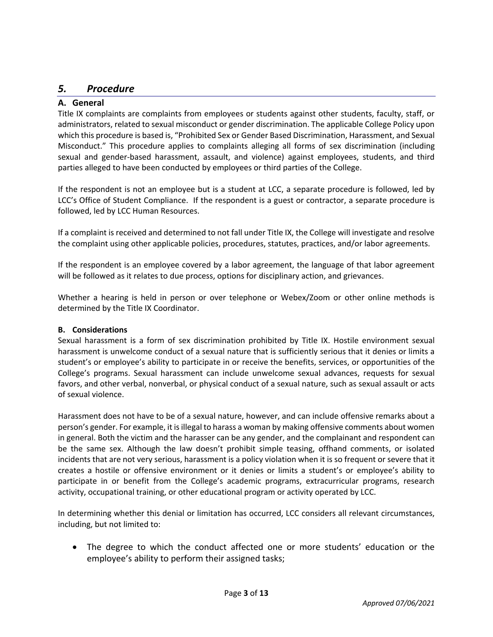# *5. Procedure*

## **A. General**

Title IX complaints are complaints from employees or students against other students, faculty, staff, or administrators, related to sexual misconduct or gender discrimination. The applicable College Policy upon which this procedure is based is, "Prohibited Sex or Gender Based Discrimination, Harassment, and Sexual Misconduct." This procedure applies to complaints alleging all forms of sex discrimination (including sexual and gender-based harassment, assault, and violence) against employees, students, and third parties alleged to have been conducted by employees or third parties of the College.

If the respondent is not an employee but is a student at LCC, a separate procedure is followed, led by LCC's Office of Student Compliance. If the respondent is a guest or contractor, a separate procedure is followed, led by LCC Human Resources.

If a complaint is received and determined to not fall under Title IX, the College will investigate and resolve the complaint using other applicable policies, procedures, statutes, practices, and/or labor agreements.

If the respondent is an employee covered by a labor agreement, the language of that labor agreement will be followed as it relates to due process, options for disciplinary action, and grievances.

Whether a hearing is held in person or over telephone or Webex/Zoom or other online methods is determined by the Title IX Coordinator.

## **B. Considerations**

Sexual harassment is a form of sex discrimination prohibited by Title IX. Hostile environment sexual harassment is unwelcome conduct of a sexual nature that is sufficiently serious that it denies or limits a student's or employee's ability to participate in or receive the benefits, services, or opportunities of the College's programs. Sexual harassment can include unwelcome sexual advances, requests for sexual favors, and other verbal, nonverbal, or physical conduct of a sexual nature, such as sexual assault or acts of sexual violence.

Harassment does not have to be of a sexual nature, however, and can include offensive remarks about a person's gender. For example, it is illegal to harass a woman by making offensive comments about women in general. Both the victim and the harasser can be any gender, and the complainant and respondent can be the same sex. Although the law doesn't prohibit simple teasing, offhand comments, or isolated incidents that are not very serious, harassment is a policy violation when it is so frequent or severe that it creates a hostile or offensive environment or it denies or limits a student's or employee's ability to participate in or benefit from the College's academic programs, extracurricular programs, research activity, occupational training, or other educational program or activity operated by LCC.

In determining whether this denial or limitation has occurred, LCC considers all relevant circumstances, including, but not limited to:

• The degree to which the conduct affected one or more students' education or the employee's ability to perform their assigned tasks;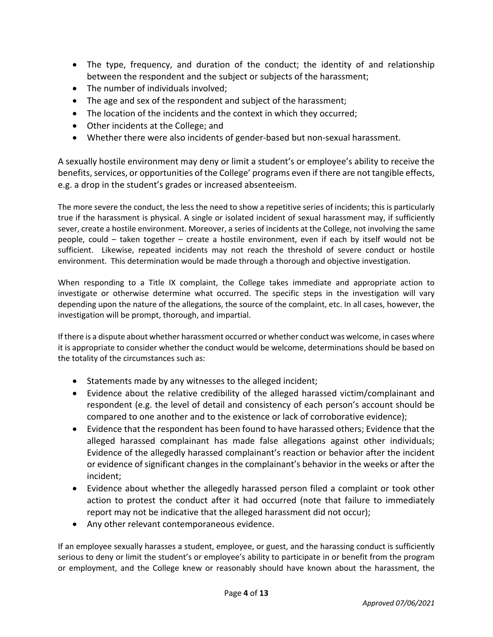- The type, frequency, and duration of the conduct; the identity of and relationship between the respondent and the subject or subjects of the harassment;
- The number of individuals involved;
- The age and sex of the respondent and subject of the harassment;
- The location of the incidents and the context in which they occurred;
- Other incidents at the College; and
- Whether there were also incidents of gender-based but non-sexual harassment.

A sexually hostile environment may deny or limit a student's or employee's ability to receive the benefits, services, or opportunities of the College' programs even if there are not tangible effects, e.g. a drop in the student's grades or increased absenteeism.

The more severe the conduct, the less the need to show a repetitive series of incidents; this is particularly true if the harassment is physical. A single or isolated incident of sexual harassment may, if sufficiently sever, create a hostile environment. Moreover, a series of incidents at the College, not involving the same people, could – taken together – create a hostile environment, even if each by itself would not be sufficient. Likewise, repeated incidents may not reach the threshold of severe conduct or hostile environment. This determination would be made through a thorough and objective investigation.

When responding to a Title IX complaint, the College takes immediate and appropriate action to investigate or otherwise determine what occurred. The specific steps in the investigation will vary depending upon the nature of the allegations, the source of the complaint, etc. In all cases, however, the investigation will be prompt, thorough, and impartial.

If there is a dispute about whether harassment occurred or whether conduct was welcome, in cases where it is appropriate to consider whether the conduct would be welcome, determinations should be based on the totality of the circumstances such as:

- Statements made by any witnesses to the alleged incident;
- Evidence about the relative credibility of the alleged harassed victim/complainant and respondent (e.g. the level of detail and consistency of each person's account should be compared to one another and to the existence or lack of corroborative evidence);
- Evidence that the respondent has been found to have harassed others; Evidence that the alleged harassed complainant has made false allegations against other individuals; Evidence of the allegedly harassed complainant's reaction or behavior after the incident or evidence of significant changes in the complainant's behavior in the weeks or after the incident;
- Evidence about whether the allegedly harassed person filed a complaint or took other action to protest the conduct after it had occurred (note that failure to immediately report may not be indicative that the alleged harassment did not occur);
- Any other relevant contemporaneous evidence.

If an employee sexually harasses a student, employee, or guest, and the harassing conduct is sufficiently serious to deny or limit the student's or employee's ability to participate in or benefit from the program or employment, and the College knew or reasonably should have known about the harassment, the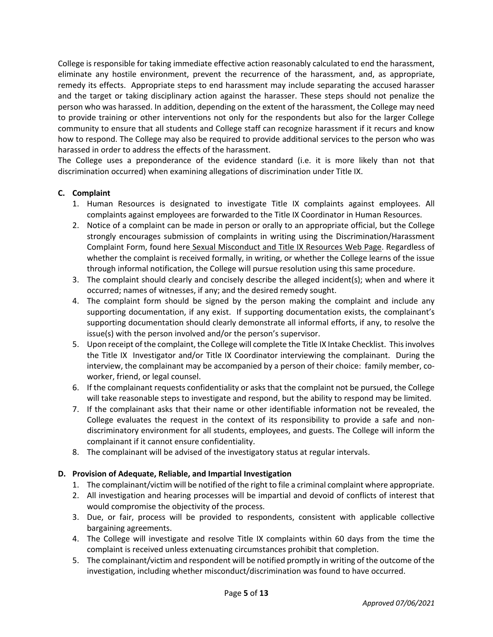College is responsible for taking immediate effective action reasonably calculated to end the harassment, eliminate any hostile environment, prevent the recurrence of the harassment, and, as appropriate, remedy its effects. Appropriate steps to end harassment may include separating the accused harasser and the target or taking disciplinary action against the harasser. These steps should not penalize the person who was harassed. In addition, depending on the extent of the harassment, the College may need to provide training or other interventions not only for the respondents but also for the larger College community to ensure that all students and College staff can recognize harassment if it recurs and know how to respond. The College may also be required to provide additional services to the person who was harassed in order to address the effects of the harassment.

The College uses a preponderance of the evidence standard (i.e. it is more likely than not that discrimination occurred) when examining allegations of discrimination under Title IX.

## **C. Complaint**

- 1. Human Resources is designated to investigate Title IX complaints against employees. All complaints against employees are forwarded to the Title IX Coordinator in Human Resources.
- 2. Notice of a complaint can be made in person or orally to an appropriate official, but the College strongly encourages submission of complaints in writing using the Discrimination/Harassment Complaint Form, found here Sexual Misconduct and Title IX Resources Web Page. Regardless of whether the complaint is received formally, in writing, or whether the College learns of the issue through informal notification, the College will pursue resolution using this same procedure.
- 3. The complaint should clearly and concisely describe the alleged incident(s); when and where it occurred; names of witnesses, if any; and the desired remedy sought.
- 4. The complaint form should be signed by the person making the complaint and include any supporting documentation, if any exist. If supporting documentation exists, the complainant's supporting documentation should clearly demonstrate all informal efforts, if any, to resolve the issue(s) with the person involved and/or the person's supervisor.
- 5. Upon receipt of the complaint, the College will complete the Title IX Intake Checklist. This involves the Title IX Investigator and/or Title IX Coordinator interviewing the complainant. During the interview, the complainant may be accompanied by a person of their choice: family member, coworker, friend, or legal counsel.
- 6. If the complainant requests confidentiality or asks that the complaint not be pursued, the College will take reasonable steps to investigate and respond, but the ability to respond may be limited.
- 7. If the complainant asks that their name or other identifiable information not be revealed, the College evaluates the request in the context of its responsibility to provide a safe and nondiscriminatory environment for all students, employees, and guests. The College will inform the complainant if it cannot ensure confidentiality.
- 8. The complainant will be advised of the investigatory status at regular intervals.

#### **D. Provision of Adequate, Reliable, and Impartial Investigation**

- 1. The complainant/victim will be notified of the right to file a criminal complaint where appropriate.
- 2. All investigation and hearing processes will be impartial and devoid of conflicts of interest that would compromise the objectivity of the process.
- 3. Due, or fair, process will be provided to respondents, consistent with applicable collective bargaining agreements.
- 4. The College will investigate and resolve Title IX complaints within 60 days from the time the complaint is received unless extenuating circumstances prohibit that completion.
- 5. The complainant/victim and respondent will be notified promptly in writing of the outcome of the investigation, including whether misconduct/discrimination was found to have occurred.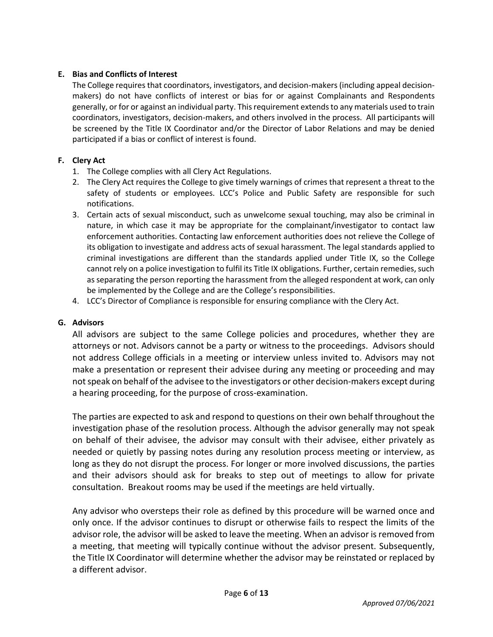## **E. Bias and Conflicts of Interest**

The College requires that coordinators, investigators, and decision-makers (including appeal decisionmakers) do not have conflicts of interest or bias for or against Complainants and Respondents generally, or for or against an individual party. This requirement extends to any materials used to train coordinators, investigators, decision-makers, and others involved in the process. All participants will be screened by the Title IX Coordinator and/or the Director of Labor Relations and may be denied participated if a bias or conflict of interest is found.

## **F. Clery Act**

- 1. The College complies with all Clery Act Regulations.
- 2. The Clery Act requires the College to give timely warnings of crimes that represent a threat to the safety of students or employees. LCC's Police and Public Safety are responsible for such notifications.
- 3. Certain acts of sexual misconduct, such as unwelcome sexual touching, may also be criminal in nature, in which case it may be appropriate for the complainant/investigator to contact law enforcement authorities. Contacting law enforcement authorities does not relieve the College of its obligation to investigate and address acts of sexual harassment. The legal standards applied to criminal investigations are different than the standards applied under Title IX, so the College cannot rely on a police investigation to fulfil its Title IX obligations. Further, certain remedies, such as separating the person reporting the harassment from the alleged respondent at work, can only be implemented by the College and are the College's responsibilities.
- 4. LCC's Director of Compliance is responsible for ensuring compliance with the Clery Act.

## **G. Advisors**

All advisors are subject to the same College policies and procedures, whether they are attorneys or not. Advisors cannot be a party or witness to the proceedings. Advisors should not address College officials in a meeting or interview unless invited to. Advisors may not make a presentation or represent their advisee during any meeting or proceeding and may not speak on behalf of the advisee to the investigators or other decision-makers except during a hearing proceeding, for the purpose of cross-examination.

The parties are expected to ask and respond to questions on their own behalf throughout the investigation phase of the resolution process. Although the advisor generally may not speak on behalf of their advisee, the advisor may consult with their advisee, either privately as needed or quietly by passing notes during any resolution process meeting or interview, as long as they do not disrupt the process. For longer or more involved discussions, the parties and their advisors should ask for breaks to step out of meetings to allow for private consultation. Breakout rooms may be used if the meetings are held virtually.

Any advisor who oversteps their role as defined by this procedure will be warned once and only once. If the advisor continues to disrupt or otherwise fails to respect the limits of the advisor role, the advisor will be asked to leave the meeting. When an advisor is removed from a meeting, that meeting will typically continue without the advisor present. Subsequently, the Title IX Coordinator will determine whether the advisor may be reinstated or replaced by a different advisor.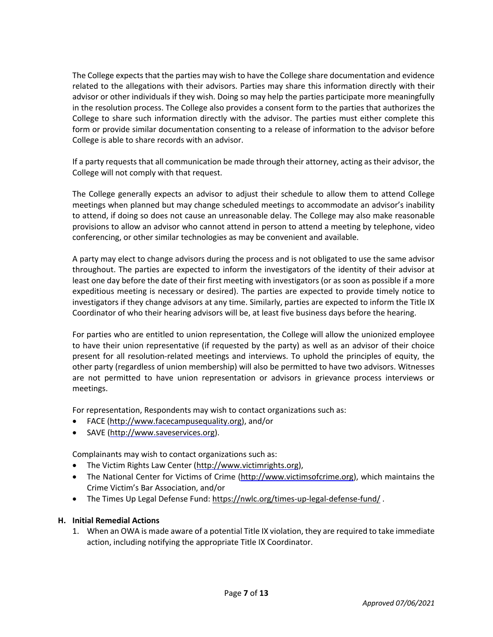The College expects that the parties may wish to have the College share documentation and evidence related to the allegations with their advisors. Parties may share this information directly with their advisor or other individuals if they wish. Doing so may help the parties participate more meaningfully in the resolution process. The College also provides a consent form to the parties that authorizes the College to share such information directly with the advisor. The parties must either complete this form or provide similar documentation consenting to a release of information to the advisor before College is able to share records with an advisor.

If a party requests that all communication be made through their attorney, acting as their advisor, the College will not comply with that request.

The College generally expects an advisor to adjust their schedule to allow them to attend College meetings when planned but may change scheduled meetings to accommodate an advisor's inability to attend, if doing so does not cause an unreasonable delay. The College may also make reasonable provisions to allow an advisor who cannot attend in person to attend a meeting by telephone, video conferencing, or other similar technologies as may be convenient and available.

A party may elect to change advisors during the process and is not obligated to use the same advisor throughout. The parties are expected to inform the investigators of the identity of their advisor at least one day before the date of their first meeting with investigators (or as soon as possible if a more expeditious meeting is necessary or desired). The parties are expected to provide timely notice to investigators if they change advisors at any time. Similarly, parties are expected to inform the Title IX Coordinator of who their hearing advisors will be, at least five business days before the hearing.

For parties who are entitled to union representation, the College will allow the unionized employee to have their union representative (if requested by the party) as well as an advisor of their choice present for all resolution-related meetings and interviews. To uphold the principles of equity, the other party (regardless of union membership) will also be permitted to have two advisors. Witnesses are not permitted to have union representation or advisors in grievance process interviews or meetings.

For representation, Respondents may wish to contact organizations such as:

- FACE (http://www.facecampusequality.org), and/or
- SAVE (http://www.saveservices.org).

Complainants may wish to contact organizations such as:

- The Victim Rights Law Center (http://www.victimrights.org),
- The National Center for Victims of Crime (http://www.victimsofcrime.org), which maintains the Crime Victim's Bar Association, and/or
- The Times Up Legal Defense Fund: https://nwlc.org/times-up-legal-defense-fund/.

#### **H. Initial Remedial Actions**

1. When an OWA is made aware of a potential Title IX violation, they are required to take immediate action, including notifying the appropriate Title IX Coordinator.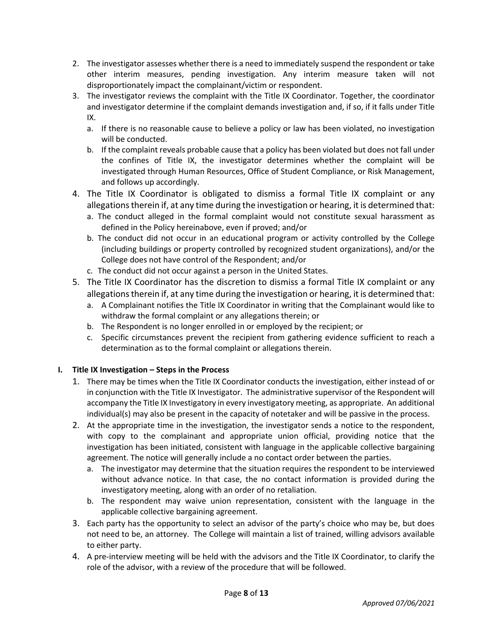- 2. The investigator assesses whether there is a need to immediately suspend the respondent or take other interim measures, pending investigation. Any interim measure taken will not disproportionately impact the complainant/victim or respondent.
- 3. The investigator reviews the complaint with the Title IX Coordinator. Together, the coordinator and investigator determine if the complaint demands investigation and, if so, if it falls under Title IX.
	- a. If there is no reasonable cause to believe a policy or law has been violated, no investigation will be conducted.
	- b. If the complaint reveals probable cause that a policy has been violated but does not fall under the confines of Title IX, the investigator determines whether the complaint will be investigated through Human Resources, Office of Student Compliance, or Risk Management, and follows up accordingly.
- 4. The Title IX Coordinator is obligated to dismiss a formal Title IX complaint or any allegations therein if, at any time during the investigation or hearing, it is determined that:
	- a. The conduct alleged in the formal complaint would not constitute sexual harassment as defined in the Policy hereinabove, even if proved; and/or
	- b. The conduct did not occur in an educational program or activity controlled by the College (including buildings or property controlled by recognized student organizations), and/or the College does not have control of the Respondent; and/or
	- c. The conduct did not occur against a person in the United States.
- 5. The Title IX Coordinator has the discretion to dismiss a formal Title IX complaint or any allegations therein if, at any time during the investigation or hearing, it is determined that:
	- a. A Complainant notifies the Title IX Coordinator in writing that the Complainant would like to withdraw the formal complaint or any allegations therein; or
	- b. The Respondent is no longer enrolled in or employed by the recipient; or
	- c. Specific circumstances prevent the recipient from gathering evidence sufficient to reach a determination as to the formal complaint or allegations therein.

# **I. Title IX Investigation – Steps in the Process**

- 1. There may be times when the Title IX Coordinator conducts the investigation, either instead of or in conjunction with the Title IX Investigator. The administrative supervisor of the Respondent will accompany the Title IX Investigatory in every investigatory meeting, as appropriate. An additional individual(s) may also be present in the capacity of notetaker and will be passive in the process.
- 2. At the appropriate time in the investigation, the investigator sends a notice to the respondent, with copy to the complainant and appropriate union official, providing notice that the investigation has been initiated, consistent with language in the applicable collective bargaining agreement. The notice will generally include a no contact order between the parties.
	- a. The investigator may determine that the situation requires the respondent to be interviewed without advance notice. In that case, the no contact information is provided during the investigatory meeting, along with an order of no retaliation.
	- b. The respondent may waive union representation, consistent with the language in the applicable collective bargaining agreement.
- 3. Each party has the opportunity to select an advisor of the party's choice who may be, but does not need to be, an attorney. The College will maintain a list of trained, willing advisors available to either party.
- 4. A pre-interview meeting will be held with the advisors and the Title IX Coordinator, to clarify the role of the advisor, with a review of the procedure that will be followed.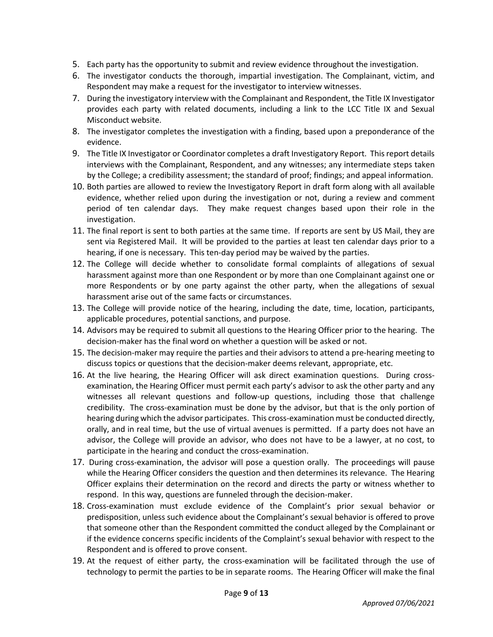- 5. Each party has the opportunity to submit and review evidence throughout the investigation.
- 6. The investigator conducts the thorough, impartial investigation. The Complainant, victim, and Respondent may make a request for the investigator to interview witnesses.
- 7. During the investigatory interview with the Complainant and Respondent, the Title IX Investigator provides each party with related documents, including a link to the LCC Title IX and Sexual Misconduct website.
- 8. The investigator completes the investigation with a finding, based upon a preponderance of the evidence.
- 9. The Title IX Investigator or Coordinator completes a draft Investigatory Report. This report details interviews with the Complainant, Respondent, and any witnesses; any intermediate steps taken by the College; a credibility assessment; the standard of proof; findings; and appeal information.
- 10. Both parties are allowed to review the Investigatory Report in draft form along with all available evidence, whether relied upon during the investigation or not, during a review and comment period of ten calendar days. They make request changes based upon their role in the investigation.
- 11. The final report is sent to both parties at the same time. If reports are sent by US Mail, they are sent via Registered Mail. It will be provided to the parties at least ten calendar days prior to a hearing, if one is necessary. This ten-day period may be waived by the parties.
- 12. The College will decide whether to consolidate formal complaints of allegations of sexual harassment against more than one Respondent or by more than one Complainant against one or more Respondents or by one party against the other party, when the allegations of sexual harassment arise out of the same facts or circumstances.
- 13. The College will provide notice of the hearing, including the date, time, location, participants, applicable procedures, potential sanctions, and purpose.
- 14. Advisors may be required to submit all questions to the Hearing Officer prior to the hearing. The decision-maker has the final word on whether a question will be asked or not.
- 15. The decision-maker may require the parties and their advisors to attend a pre-hearing meeting to discuss topics or questions that the decision-maker deems relevant, appropriate, etc.
- 16. At the live hearing, the Hearing Officer will ask direct examination questions. During crossexamination, the Hearing Officer must permit each party's advisor to ask the other party and any witnesses all relevant questions and follow-up questions, including those that challenge credibility. The cross-examination must be done by the advisor, but that is the only portion of hearing during which the advisor participates. This cross-examination must be conducted directly, orally, and in real time, but the use of virtual avenues is permitted. If a party does not have an advisor, the College will provide an advisor, who does not have to be a lawyer, at no cost, to participate in the hearing and conduct the cross-examination.
- 17. During cross-examination, the advisor will pose a question orally. The proceedings will pause while the Hearing Officer considers the question and then determines its relevance. The Hearing Officer explains their determination on the record and directs the party or witness whether to respond. In this way, questions are funneled through the decision-maker.
- 18. Cross-examination must exclude evidence of the Complaint's prior sexual behavior or predisposition, unless such evidence about the Complainant's sexual behavior is offered to prove that someone other than the Respondent committed the conduct alleged by the Complainant or if the evidence concerns specific incidents of the Complaint's sexual behavior with respect to the Respondent and is offered to prove consent.
- 19. At the request of either party, the cross-examination will be facilitated through the use of technology to permit the parties to be in separate rooms. The Hearing Officer will make the final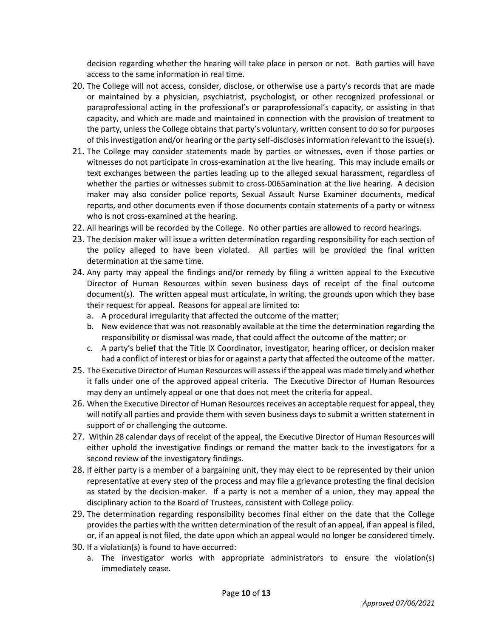decision regarding whether the hearing will take place in person or not. Both parties will have access to the same information in real time.

- 20. The College will not access, consider, disclose, or otherwise use a party's records that are made or maintained by a physician, psychiatrist, psychologist, or other recognized professional or paraprofessional acting in the professional's or paraprofessional's capacity, or assisting in that capacity, and which are made and maintained in connection with the provision of treatment to the party, unless the College obtains that party's voluntary, written consent to do so for purposes of this investigation and/or hearing or the party self-discloses information relevant to the issue(s).
- 21. The College may consider statements made by parties or witnesses, even if those parties or witnesses do not participate in cross-examination at the live hearing. This may include emails or text exchanges between the parties leading up to the alleged sexual harassment, regardless of whether the parties or witnesses submit to cross-0065amination at the live hearing. A decision maker may also consider police reports, Sexual Assault Nurse Examiner documents, medical reports, and other documents even if those documents contain statements of a party or witness who is not cross-examined at the hearing.
- 22. All hearings will be recorded by the College. No other parties are allowed to record hearings.
- 23. The decision maker will issue a written determination regarding responsibility for each section of the policy alleged to have been violated. All parties will be provided the final written determination at the same time.
- 24. Any party may appeal the findings and/or remedy by filing a written appeal to the Executive Director of Human Resources within seven business days of receipt of the final outcome document(s). The written appeal must articulate, in writing, the grounds upon which they base their request for appeal. Reasons for appeal are limited to:
	- a. A procedural irregularity that affected the outcome of the matter;
	- b. New evidence that was not reasonably available at the time the determination regarding the responsibility or dismissal was made, that could affect the outcome of the matter; or
	- c. A party's belief that the Title IX Coordinator, investigator, hearing officer, or decision maker had a conflict of interest or bias for or against a party that affected the outcome of the matter.
- 25. The Executive Director of Human Resources will assess if the appeal was made timely and whether it falls under one of the approved appeal criteria. The Executive Director of Human Resources may deny an untimely appeal or one that does not meet the criteria for appeal.
- 26. When the Executive Director of Human Resources receives an acceptable request for appeal, they will notify all parties and provide them with seven business days to submit a written statement in support of or challenging the outcome.
- 27. Within 28 calendar days of receipt of the appeal, the Executive Director of Human Resources will either uphold the investigative findings or remand the matter back to the investigators for a second review of the investigatory findings.
- 28. If either party is a member of a bargaining unit, they may elect to be represented by their union representative at every step of the process and may file a grievance protesting the final decision as stated by the decision-maker. If a party is not a member of a union, they may appeal the disciplinary action to the Board of Trustees, consistent with College policy.
- 29. The determination regarding responsibility becomes final either on the date that the College provides the parties with the written determination of the result of an appeal, if an appeal is filed, or, if an appeal is not filed, the date upon which an appeal would no longer be considered timely.
- 30. If a violation(s) is found to have occurred:
	- a. The investigator works with appropriate administrators to ensure the violation(s) immediately cease.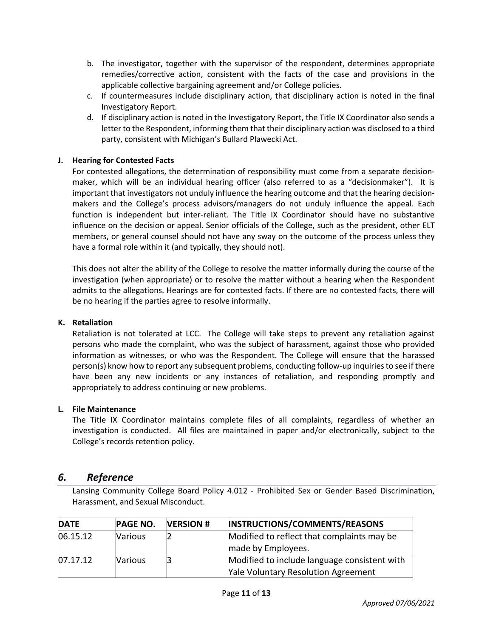- b. The investigator, together with the supervisor of the respondent, determines appropriate remedies/corrective action, consistent with the facts of the case and provisions in the applicable collective bargaining agreement and/or College policies.
- c. If countermeasures include disciplinary action, that disciplinary action is noted in the final Investigatory Report.
- d. If disciplinary action is noted in the Investigatory Report, the Title IX Coordinator also sends a letter to the Respondent, informing them that their disciplinary action was disclosed to a third party, consistent with Michigan's Bullard Plawecki Act.

## **J. Hearing for Contested Facts**

For contested allegations, the determination of responsibility must come from a separate decisionmaker, which will be an individual hearing officer (also referred to as a "decisionmaker"). It is important that investigators not unduly influence the hearing outcome and that the hearing decisionmakers and the College's process advisors/managers do not unduly influence the appeal. Each function is independent but inter-reliant. The Title IX Coordinator should have no substantive influence on the decision or appeal. Senior officials of the College, such as the president, other ELT members, or general counsel should not have any sway on the outcome of the process unless they have a formal role within it (and typically, they should not).

This does not alter the ability of the College to resolve the matter informally during the course of the investigation (when appropriate) or to resolve the matter without a hearing when the Respondent admits to the allegations. Hearings are for contested facts. If there are no contested facts, there will be no hearing if the parties agree to resolve informally.

#### **K. Retaliation**

Retaliation is not tolerated at LCC. The College will take steps to prevent any retaliation against persons who made the complaint, who was the subject of harassment, against those who provided information as witnesses, or who was the Respondent. The College will ensure that the harassed person(s) know how to report any subsequent problems, conducting follow-up inquiries to see if there have been any new incidents or any instances of retaliation, and responding promptly and appropriately to address continuing or new problems.

#### **L. File Maintenance**

The Title IX Coordinator maintains complete files of all complaints, regardless of whether an investigation is conducted. All files are maintained in paper and/or electronically, subject to the College's records retention policy.

# *6. Reference*

Lansing Community College Board Policy 4.012 - Prohibited Sex or Gender Based Discrimination, Harassment, and Sexual Misconduct.

| <b>DATE</b> | <b>PAGE NO.</b> | <b>VERSION#</b> | INSTRUCTIONS/COMMENTS/REASONS                |
|-------------|-----------------|-----------------|----------------------------------------------|
| 06.15.12    | <b>Various</b>  |                 | Modified to reflect that complaints may be   |
|             |                 |                 | made by Employees.                           |
| 07.17.12    | <b>Various</b>  |                 | Modified to include language consistent with |
|             |                 |                 | <b>Yale Voluntary Resolution Agreement</b>   |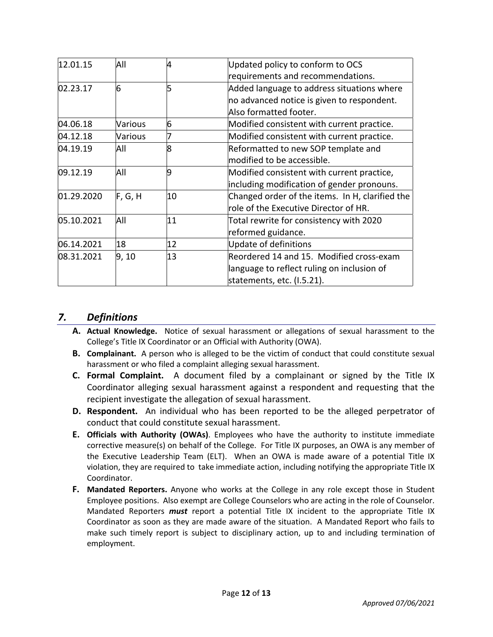| 12.01.15   | All     | 4  | Updated policy to conform to OCS                |
|------------|---------|----|-------------------------------------------------|
|            |         |    | requirements and recommendations.               |
| 02.23.17   | 6       |    | Added language to address situations where      |
|            |         |    | no advanced notice is given to respondent.      |
|            |         |    | Also formatted footer.                          |
| 04.06.18   | Various | 6  | Modified consistent with current practice.      |
| 04.12.18   | Various |    | Modified consistent with current practice.      |
| 04.19.19   | All     | 8  | Reformatted to new SOP template and             |
|            |         |    | modified to be accessible.                      |
| 09.12.19   | All     | 9  | Modified consistent with current practice,      |
|            |         |    | including modification of gender pronouns.      |
| 01.29.2020 | F, G, H | 10 | Changed order of the items. In H, clarified the |
|            |         |    | role of the Executive Director of HR.           |
| 05.10.2021 | All     | 11 | Total rewrite for consistency with 2020         |
|            |         |    | reformed guidance.                              |
| 06.14.2021 | 18      | 12 | Update of definitions                           |
| 08.31.2021 | 9, 10   | 13 | Reordered 14 and 15. Modified cross-exam        |
|            |         |    | language to reflect ruling on inclusion of      |
|            |         |    | statements, etc. (I.5.21).                      |

# *7. Definitions*

- **A. Actual Knowledge.** Notice of sexual harassment or allegations of sexual harassment to the College's Title IX Coordinator or an Official with Authority (OWA).
- **B. Complainant.** A person who is alleged to be the victim of conduct that could constitute sexual harassment or who filed a complaint alleging sexual harassment.
- **C. Formal Complaint.** A document filed by a complainant or signed by the Title IX Coordinator alleging sexual harassment against a respondent and requesting that the recipient investigate the allegation of sexual harassment.
- **D. Respondent.** An individual who has been reported to be the alleged perpetrator of conduct that could constitute sexual harassment.
- **E. Officials with Authority (OWAs)**. Employees who have the authority to institute immediate corrective measure(s) on behalf of the College. For Title IX purposes, an OWA is any member of the Executive Leadership Team (ELT). When an OWA is made aware of a potential Title IX violation, they are required to take immediate action, including notifying the appropriate Title IX Coordinator.
- **F. Mandated Reporters.** Anyone who works at the College in any role except those in Student Employee positions. Also exempt are College Counselors who are acting in the role of Counselor. Mandated Reporters *must* report a potential Title IX incident to the appropriate Title IX Coordinator as soon as they are made aware of the situation. A Mandated Report who fails to make such timely report is subject to disciplinary action, up to and including termination of employment.